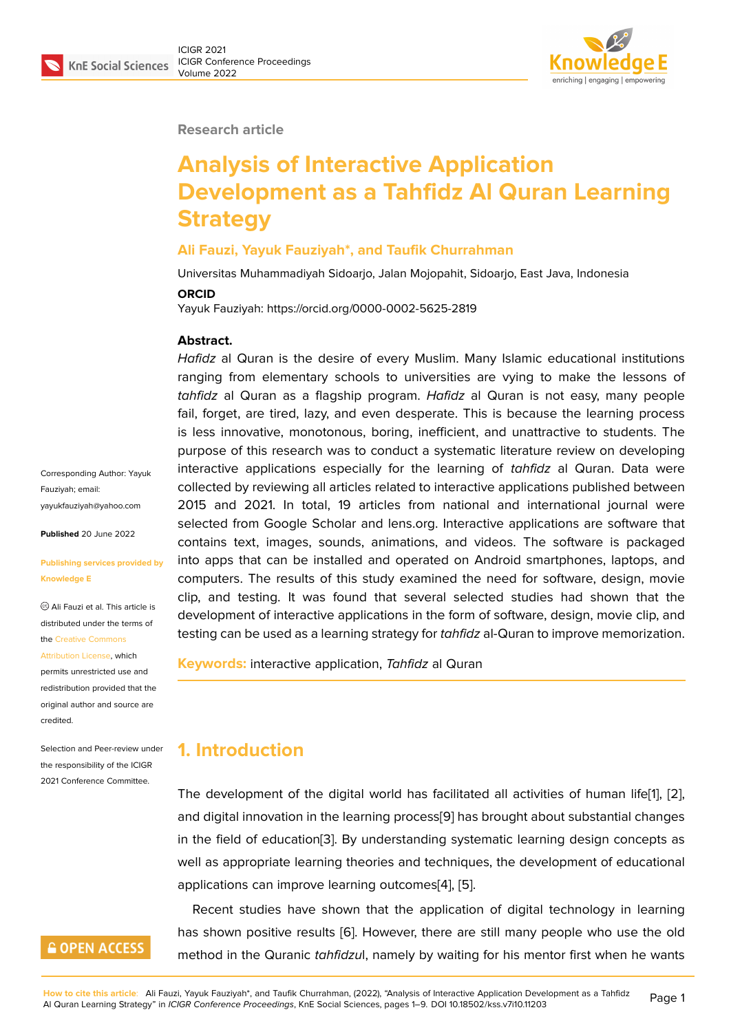

#### **Research article**

# **Analysis of Interactive Application Development as a Tahfidz Al Quran Learning Strategy**

#### **Ali Fauzi, Yayuk Fauziyah\*, and Taufik Churrahman**

Universitas Muhammadiyah Sidoarjo, Jalan Mojopahit, Sidoarjo, East Java, Indonesia

#### **ORCID**

Yayuk Fauziyah: https://orcid.org/0000-0002-5625-2819

#### **Abstract.**

*Hafidz* al Quran is the desire of every Muslim. Many Islamic educational institutions ranging from elementary schools to universities are vying to make the lessons of *tahfidz* al Quran as a flagship program. *Hafidz* al Quran is not easy, many people fail, forget, are tired, lazy, and even desperate. This is because the learning process is less innovative, monotonous, boring, inefficient, and unattractive to students. The purpose of this research was to conduct a systematic literature review on developing interactive applications especially for the learning of *tahfidz* al Quran. Data were collected by reviewing all articles related to interactive applications published between 2015 and 2021. In total, 19 articles from national and international journal were selected from Google Scholar and lens.org. Interactive applications are software that contains text, images, sounds, animations, and videos. The software is packaged into apps that can be installed and operated on Android smartphones, laptops, and computers. The results of this study examined the need for software, design, movie clip, and testing. It was found that several selected studies had shown that the development of interactive applications in the form of software, design, movie clip, and testing can be used as a learning strategy for *tahfidz* al-Quran to improve memorization.

**Keywords:** interactive application, *Tahfidz* al Quran

### **1. Introduction**

The development of the digital world has facilitated all activities of human life[1], [2], and digital innovation in the learning process[9] has brought about substantial changes in the field of education[3]. By understanding systematic learning design concepts as well as appropriate learning theories and techniques, the development of educ[at](#page-6-0)io[na](#page-6-1)l applications can improve learning outcomes[[4\],](#page-6-2) [5].

Recent studies have [sh](#page-6-3)own that the application of digital technology in learning has shown positive results [6]. However, there are still many people who use the old method in the Quranic *tahfidzu*l, namely by [wa](#page-6-4)it[in](#page-6-5)g for his mentor first when he wants

Corresponding Author: Yayuk Fauziyah; email: yayukfauziyah@yahoo.com

**Published** 20 June 2022

#### **[Publishing services provid](mailto:yayukfauziyah@yahoo.com)ed by Knowledge E**

Ali Fauzi et al. This article is distributed under the terms of the Creative Commons

Attribution License, which

permits unrestricted use and redistribution provided that the orig[inal author and sou](https://creativecommons.org/licenses/by/4.0/)rce are [credited.](https://creativecommons.org/licenses/by/4.0/)

Selection and Peer-review under the responsibility of the ICIGR 2021 Conference Committee.

# **GOPEN ACCESS**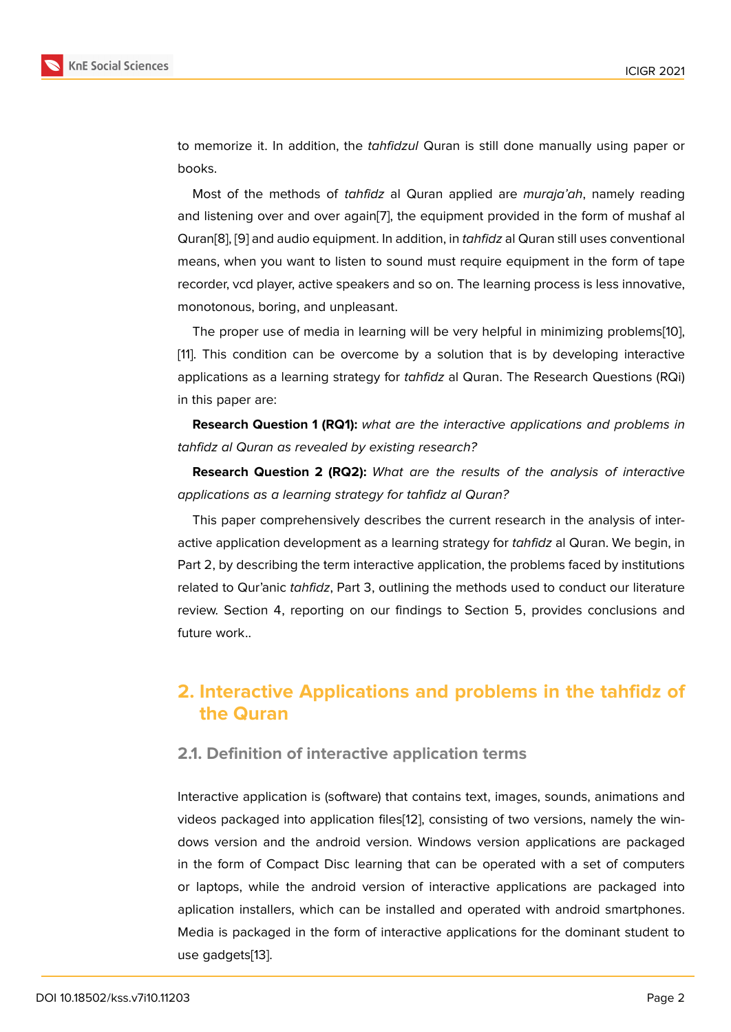to memorize it. In addition, the *tahfidzul* Quran is still done manually using paper or books.

Most of the methods of *tahfidz* al Quran applied are *muraja'ah*, namely reading and listening over and over again[7], the equipment provided in the form of mushaf al Quran[8], [9] and audio equipment. In addition, in *tahfidz* al Quran still uses conventional means, when you want to listen to sound must require equipment in the form of tape recorder, vcd player, active speake[rs](#page-6-7) and so on. The learning process is less innovative, monot[on](#page-6-8)o[u](#page-6-2)s, boring, and unpleasant.

The proper use of media in learning will be very helpful in minimizing problems[10], [11]. This condition can be overcome by a solution that is by developing interactive applications as a learning strategy for *tahfidz* al Quran. The Research Questions (RQi) in this paper are:

**Research Question 1 (RQ1):** *what are the interactive applications and problems in tahfidz al Quran as revealed by existing research?*

**Research Question 2 (RQ2):** *What are the results of the analysis of interactive applications as a learning strategy for tahfidz al Quran?*

This paper comprehensively describes the current research in the analysis of interactive application development as a learning strategy for *tahfidz* al Quran. We begin, in Part 2, by describing the term interactive application, the problems faced by institutions related to Qur'anic *tahfidz*, Part 3, outlining the methods used to conduct our literature review. Section 4, reporting on our findings to Section 5, provides conclusions and future work..

# **2. Interactive Applications and problems in the tahfidz of the Quran**

### **2.1. Definition of interactive application terms**

Interactive application is (software) that contains text, images, sounds, animations and videos packaged into application files[12], consisting of two versions, namely the windows version and the android version. Windows version applications are packaged in the form of Compact Disc learning that can be operated with a set of computers or laptops, while the android version [o](#page-7-0)f interactive applications are packaged into aplication installers, which can be installed and operated with android smartphones. Media is packaged in the form of interactive applications for the dominant student to use gadgets[13].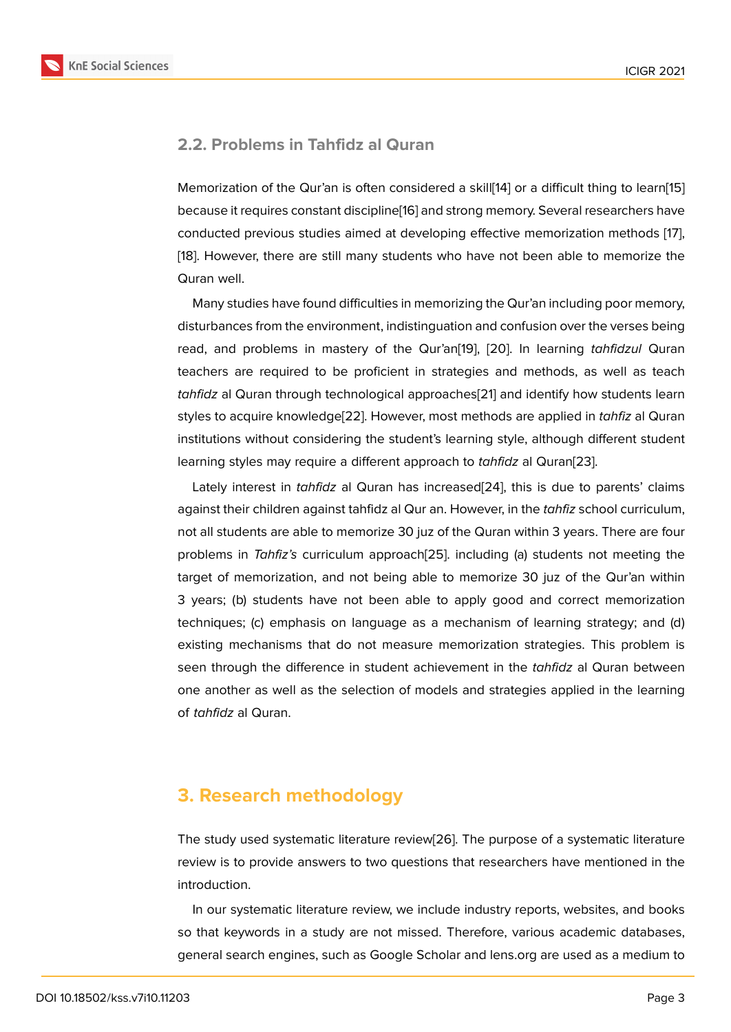### **2.2. Problems in Tahfidz al Quran**

Memorization of the Qur'an is often considered a skill[14] or a difficult thing to learn[15] because it requires constant discipline[16] and strong memory. Several researchers have conducted previous studies aimed at developing effective memorization methods [17], [18]. However, there are still many students who have [no](#page-7-1)t been able to memorize [the](#page-7-2) Quran well.

Many studies have found difficulties in memorizing the Qur'an including poor mem[ory](#page-7-3), [dis](#page-7-4)turbances from the environment, indistinguation and confusion over the verses being read, and problems in mastery of the Qur'an[19], [20]. In learning *tahfidzul* Quran teachers are required to be proficient in strategies and methods, as well as teach *tahfidz* al Quran through technological approaches[21] and identify how students learn styles to acquire knowledge[22]. However, most [me](#page-7-5)th[ods](#page-7-6) are applied in *tahfiz* al Quran institutions without considering the student's learning style, although different student learning styles may require a different approach to *[tah](#page-7-7)fidz* al Quran[23].

Lately interest in *tahfidz* [al Q](#page-7-8)uran has increased<sup>[24]</sup>, this is due to parents' claims against their children against tahfidz al Qur an. However, in the *tahfiz* school curriculum, not all students are able to memorize 30 juz of the Quran within 3 y[ears](#page-7-9). There are four problems in *Tahfiz's* curriculum approach[25]. inclu[din](#page-8-0)g (a) students not meeting the target of memorization, and not being able to memorize 30 juz of the Qur'an within 3 years; (b) students have not been able to apply good and correct memorization techniques; (c) emphasis on language as [a m](#page-8-1)echanism of learning strategy; and (d) existing mechanisms that do not measure memorization strategies. This problem is seen through the difference in student achievement in the *tahfidz* al Quran between one another as well as the selection of models and strategies applied in the learning of *tahfidz* al Quran.

# **3. Research methodology**

The study used systematic literature review[26]. The purpose of a systematic literature review is to provide answers to two questions that researchers have mentioned in the introduction.

In our systematic literature review, we inc[lud](#page-8-2)e industry reports, websites, and books so that keywords in a study are not missed. Therefore, various academic databases, general search engines, such as Google Scholar and lens.org are used as a medium to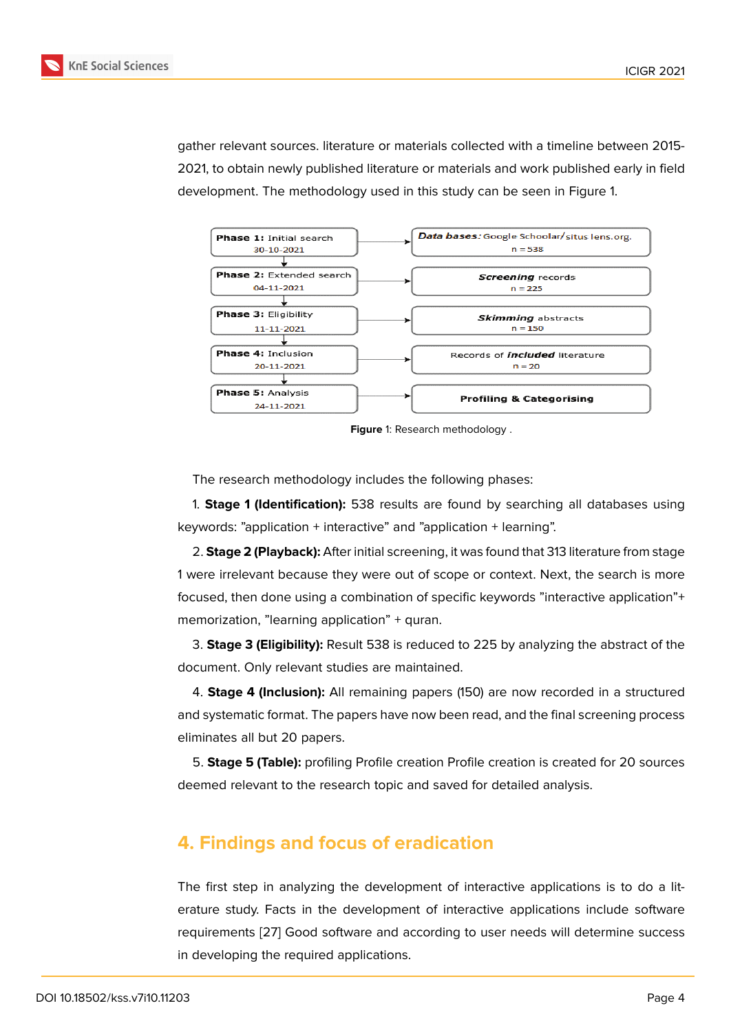gather relevant sources. literature or materials collected with a timeline between 2015- 2021, to obtain newly published literature or materials and work published early in field development. The methodology used in this study can be seen in Figure 1.



**Figure** 1: Research methodology .

The research methodology includes the following phases:

1. **Stage 1 (Identification):** 538 results are found by searching all databases using keywords: "application + interactive" and "application + learning".

2. **Stage 2 (Playback):** After initial screening, it was found that 313 literature from stage 1 were irrelevant because they were out of scope or context. Next, the search is more focused, then done using a combination of specific keywords "interactive application"+ memorization, "learning application" + quran.

3. **Stage 3 (Eligibility):** Result 538 is reduced to 225 by analyzing the abstract of the document. Only relevant studies are maintained.

4. **Stage 4 (Inclusion):** All remaining papers (150) are now recorded in a structured and systematic format. The papers have now been read, and the final screening process eliminates all but 20 papers.

5. **Stage 5 (Table):** profiling Profile creation Profile creation is created for 20 sources deemed relevant to the research topic and saved for detailed analysis.

# **4. Findings and focus of eradication**

The first step in analyzing the development of interactive applications is to do a literature study. Facts in the development of interactive applications include software requirements [27] Good software and according to user needs will determine success in developing the required applications.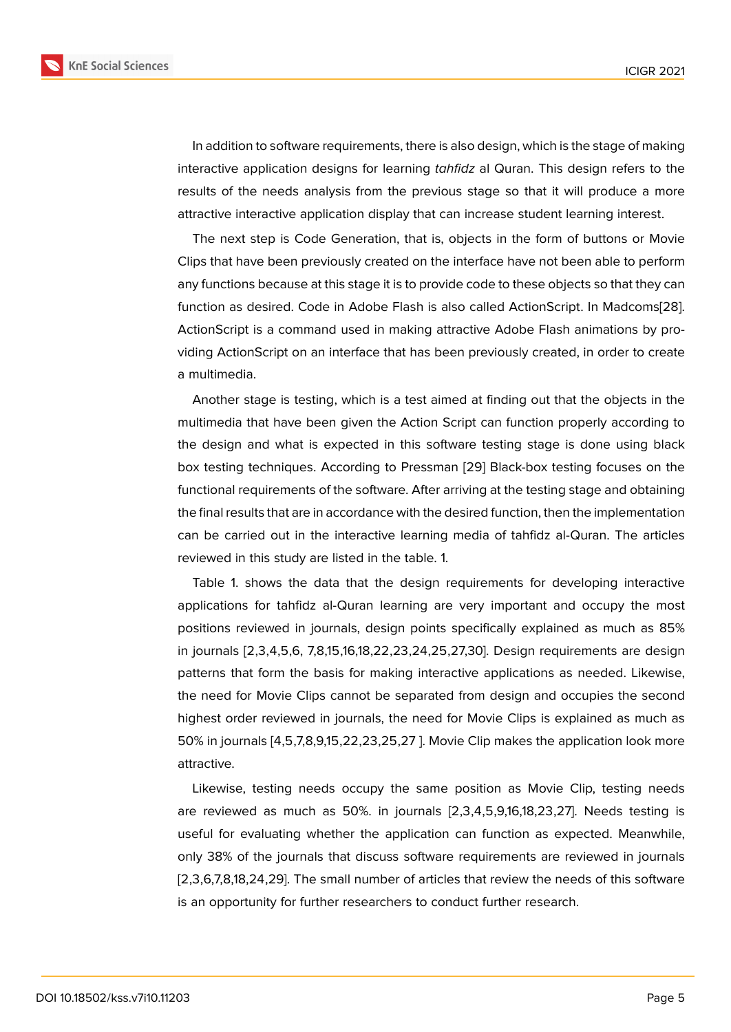In addition to software requirements, there is also design, which is the stage of making interactive application designs for learning *tahfidz* al Quran. This design refers to the results of the needs analysis from the previous stage so that it will produce a more attractive interactive application display that can increase student learning interest.

The next step is Code Generation, that is, objects in the form of buttons or Movie Clips that have been previously created on the interface have not been able to perform any functions because at this stage it is to provide code to these objects so that they can function as desired. Code in Adobe Flash is also called ActionScript. In Madcoms[28]. ActionScript is a command used in making attractive Adobe Flash animations by providing ActionScript on an interface that has been previously created, in order to create a multimedia.

Another stage is testing, which is a test aimed at finding out that the objects in the multimedia that have been given the Action Script can function properly according to the design and what is expected in this software testing stage is done using black box testing techniques. According to Pressman [29] Black-box testing focuses on the functional requirements of the software. After arriving at the testing stage and obtaining the final results that are in accordance with the desired function, then the implementation can be carried out in the interactive learning m[edi](#page-8-3)a of tahfidz al-Quran. The articles reviewed in this study are listed in the table. 1.

Table 1. shows the data that the design requirements for developing interactive applications for tahfidz al-Quran learning are very important and occupy the most positions reviewed in journals, design points specifically explained as much as 85% in journals [2,3,4,5,6, 7,8,15,16,18,22,23,24,25,27,30]. Design requirements are design patterns that form the basis for making interactive applications as needed. Likewise, the need for Movie Clips cannot be separated from design and occupies the second highest order reviewed in journals, the need for Movie Clips is explained as much as 50% in journals [4,5,7,8,9,15,22,23,25,27 ]. Movie Clip makes the application look more attractive.

Likewise, testing needs occupy the same position as Movie Clip, testing needs are reviewed as much as 50%. in journals [2,3,4,5,9,16,18,23,27]. Needs testing is useful for evaluating whether the application can function as expected. Meanwhile, only 38% of the journals that discuss software requirements are reviewed in journals [2,3,6,7,8,18,24,29]. The small number of articles that review the needs of this software is an opportunity for further researchers to conduct further research.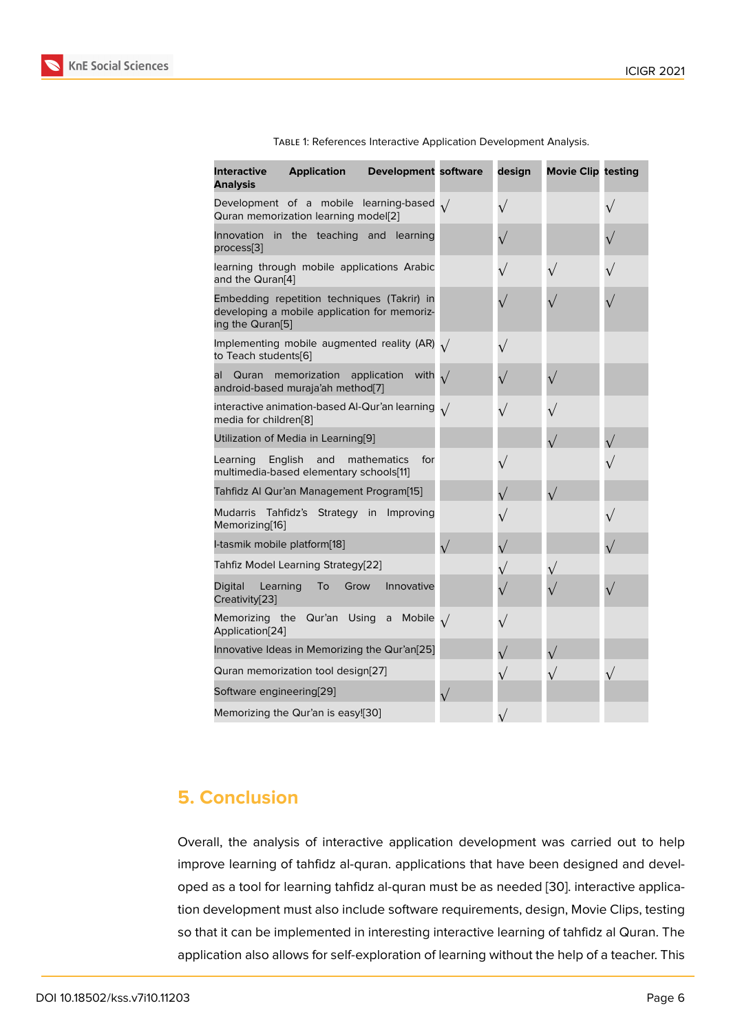| <b>Interactive</b><br><b>Analysis</b>        | <b>Application</b>                                                                          | <b>Development software</b>   | design    | <b>Movie Clip testing</b> |           |
|----------------------------------------------|---------------------------------------------------------------------------------------------|-------------------------------|-----------|---------------------------|-----------|
|                                              | Development of a mobile learning-based $\sqrt{}$<br>Quran memorization learning model[2]    |                               | $\sqrt{}$ |                           | $\sqrt{}$ |
| Innovation<br>process[3]                     | in the teaching and learning                                                                |                               | $\sqrt{}$ |                           |           |
| and the Quran[4]                             | learning through mobile applications Arabic                                                 |                               | $\sqrt{}$ | $\sqrt{}$                 | $\sqrt{}$ |
| ing the Quran <sup>[5]</sup>                 | Embedding repetition techniques (Takrir) in<br>developing a mobile application for memoriz- |                               |           |                           |           |
| to Teach students[6]                         | Implementing mobile augmented reality (AR) $\sqrt{}$                                        |                               | $\sqrt{}$ |                           |           |
| Quran<br>al                                  | memorization<br>android-based muraja'ah method[7]                                           | application<br>with $\sqrt{}$ | $\sqrt{}$ | $\sqrt{}$                 |           |
| media for children[8]                        | interactive animation-based Al-Qur'an learning $\sqrt{}$                                    |                               | $\sqrt{}$ |                           |           |
|                                              | Utilization of Media in Learning[9]                                                         |                               |           |                           |           |
| Learning                                     | English<br>and<br>multimedia-based elementary schools[11]                                   | for<br>mathematics            | $\sqrt{}$ |                           |           |
|                                              | Tahfidz Al Qur'an Management Program[15]                                                    |                               | $\sqrt{}$ | $\sqrt{}$                 |           |
| Mudarris Tahfidz's<br>Memorizing[16]         | Strategy in                                                                                 | Improving                     |           |                           | $\sqrt{}$ |
| I-tasmik mobile platform[18]                 |                                                                                             |                               | $\sqrt{}$ |                           |           |
|                                              | Tahfiz Model Learning Strategy[22]                                                          |                               | $\sqrt{}$ | $\sqrt{}$                 |           |
| <b>Digital</b><br>Learning<br>Creativity[23] | To<br>Grow                                                                                  | Innovative                    |           |                           |           |
| Application[24]                              | Memorizing the Qur'an Using                                                                 | a Mobile $\sqrt{}$            | $\sqrt{}$ |                           |           |
|                                              | Innovative Ideas in Memorizing the Qur'an[25]                                               |                               | $\sqrt{}$ |                           |           |
|                                              | Quran memorization tool design[27]                                                          |                               | $\sqrt{}$ |                           | $\sqrt{}$ |
| Software engineering[29]                     |                                                                                             |                               |           |                           |           |
|                                              | Memorizing the Qur'an is easy![30]                                                          |                               |           |                           |           |

| TABLE 1: References Interactive Application Development Analysis. |  |  |  |
|-------------------------------------------------------------------|--|--|--|

### **5. Conclusion**

Overall, the analysis of interactive application development was carried out to help improve learning of tahfidz al-quran. applications that have been designed and developed as a tool for learning tahfidz al-quran must be as needed [30]. interactive application development must also include software requirements, design, Movie Clips, testing so that it can be implemented in interesting interactive learning of tahfidz al Quran. The application also allows for self-exploration of learning without th[e h](#page-8-4)elp of a teacher. This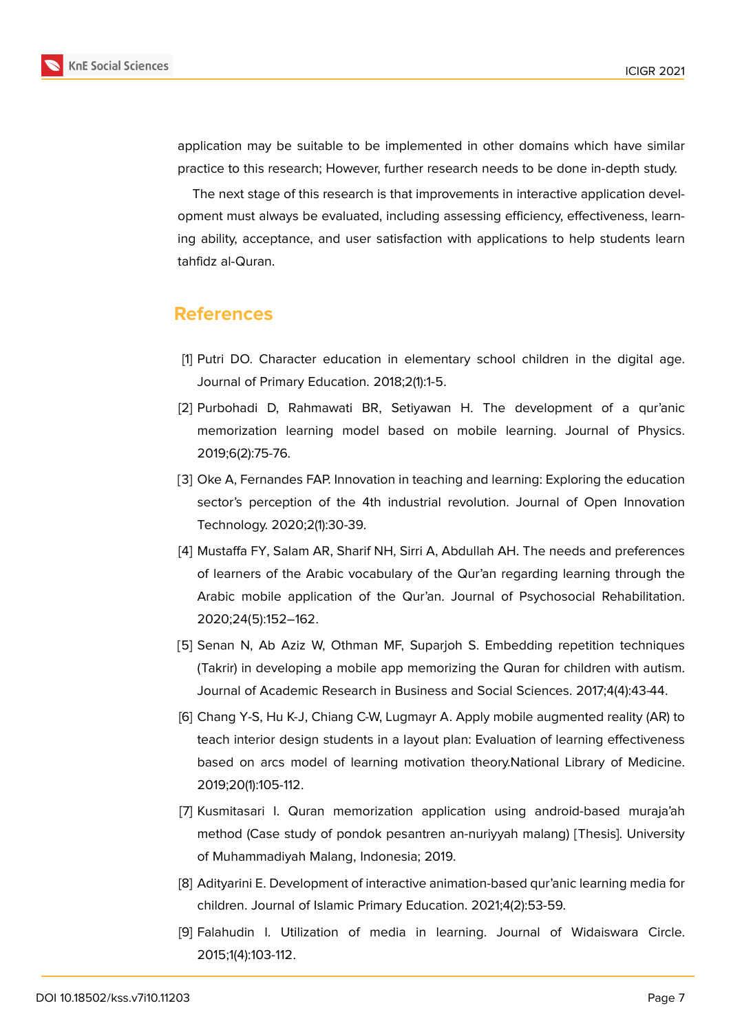

application may be suitable to be implemented in other domains which have similar practice to this research; However, further research needs to be done in-depth study.

The next stage of this research is that improvements in interactive application development must always be evaluated, including assessing efficiency, effectiveness, learning ability, acceptance, and user satisfaction with applications to help students learn tahfidz al-Quran.

### **References**

- <span id="page-6-0"></span>[1] Putri DO. Character education in elementary school children in the digital age. Journal of Primary Education. 2018;2(1):1-5.
- <span id="page-6-1"></span>[2] Purbohadi D, Rahmawati BR, Setiyawan H. The development of a qur'anic memorization learning model based on mobile learning. Journal of Physics. 2019;6(2):75-76.
- <span id="page-6-3"></span>[3] Oke A, Fernandes FAP. Innovation in teaching and learning: Exploring the education sector's perception of the 4th industrial revolution. Journal of Open Innovation Technology. 2020;2(1):30-39.
- <span id="page-6-4"></span>[4] Mustaffa FY, Salam AR, Sharif NH, Sirri A, Abdullah AH. The needs and preferences of learners of the Arabic vocabulary of the Qur'an regarding learning through the Arabic mobile application of the Qur'an. Journal of Psychosocial Rehabilitation. 2020;24(5):152–162.
- <span id="page-6-5"></span>[5] Senan N, Ab Aziz W, Othman MF, Suparjoh S. Embedding repetition techniques (Takrir) in developing a mobile app memorizing the Quran for children with autism. Journal of Academic Research in Business and Social Sciences. 2017;4(4):43-44.
- <span id="page-6-6"></span>[6] Chang Y-S, Hu K-J, Chiang C-W, Lugmayr A. Apply mobile augmented reality (AR) to teach interior design students in a layout plan: Evaluation of learning effectiveness based on arcs model of learning motivation theory.National Library of Medicine. 2019;20(1):105-112.
- <span id="page-6-7"></span>[7] Kusmitasari I. Quran memorization application using android-based muraja'ah method (Case study of pondok pesantren an-nuriyyah malang) [Thesis]. University of Muhammadiyah Malang, Indonesia; 2019.
- <span id="page-6-8"></span>[8] Adityarini E. Development of interactive animation-based qur'anic learning media for children. Journal of Islamic Primary Education. 2021;4(2):53-59.
- <span id="page-6-2"></span>[9] Falahudin I. Utilization of media in learning. Journal of Widaiswara Circle. 2015;1(4):103-112.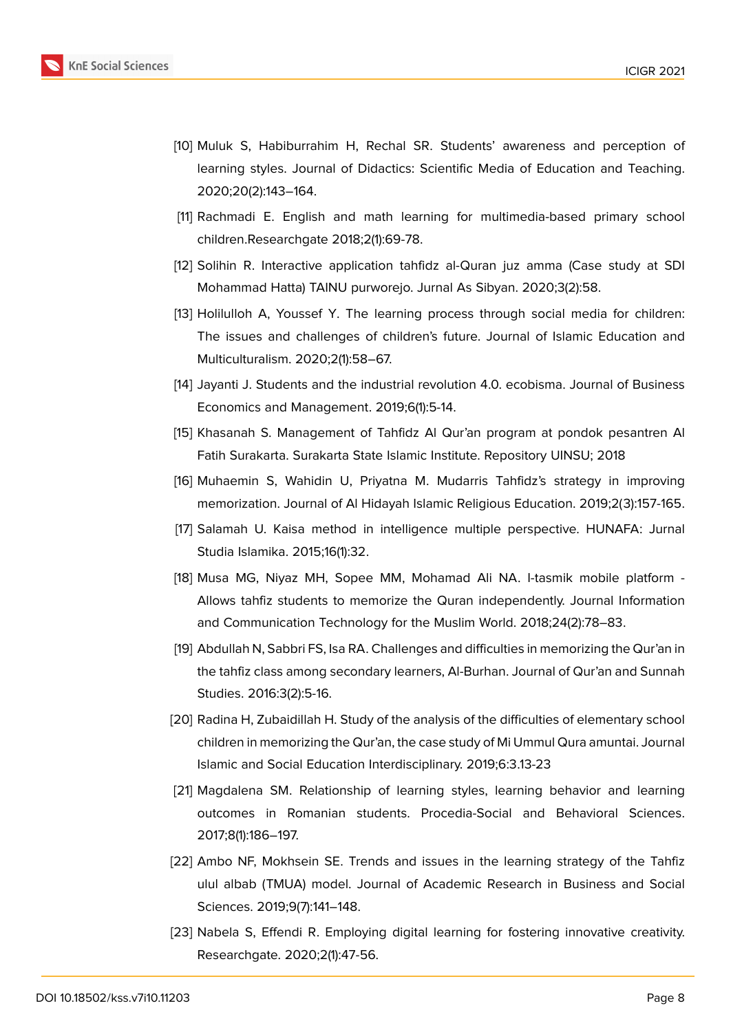

- [10] Muluk S, Habiburrahim H, Rechal SR. Students' awareness and perception of learning styles. Journal of Didactics: Scientific Media of Education and Teaching. 2020;20(2):143–164.
- [11] Rachmadi E. English and math learning for multimedia-based primary school children.Researchgate 2018;2(1):69-78.
- <span id="page-7-0"></span>[12] Solihin R. Interactive application tahfidz al-Quran juz amma (Case study at SDI Mohammad Hatta) TAINU purworejo. Jurnal As Sibyan. 2020;3(2):58.
- [13] Holilulloh A, Youssef Y. The learning process through social media for children: The issues and challenges of children's future. Journal of Islamic Education and Multiculturalism. 2020;2(1):58–67.
- <span id="page-7-1"></span>[14] Jayanti J. Students and the industrial revolution 4.0. ecobisma. Journal of Business Economics and Management. 2019;6(1):5-14.
- <span id="page-7-2"></span>[15] Khasanah S. Management of Tahfidz Al Qur'an program at pondok pesantren Al Fatih Surakarta. Surakarta State Islamic Institute. Repository UINSU; 2018
- <span id="page-7-10"></span>[16] Muhaemin S, Wahidin U, Priyatna M. Mudarris Tahfidz's strategy in improving memorization. Journal of Al Hidayah Islamic Religious Education. 2019;2(3):157-165.
- <span id="page-7-3"></span>[17] Salamah U. Kaisa method in intelligence multiple perspective. HUNAFA: Jurnal Studia Islamika. 2015;16(1):32.
- <span id="page-7-4"></span>[18] Musa MG, Niyaz MH, Sopee MM, Mohamad Ali NA. I-tasmik mobile platform - Allows tahfiz students to memorize the Quran independently. Journal Information and Communication Technology for the Muslim World. 2018;24(2):78–83.
- <span id="page-7-5"></span>[19] Abdullah N, Sabbri FS, Isa RA. Challenges and difficulties in memorizing the Qur'an in the tahfiz class among secondary learners, Al-Burhan. Journal of Qur'an and Sunnah Studies. 2016:3(2):5-16.
- <span id="page-7-6"></span>[20] Radina H, Zubaidillah H. Study of the analysis of the difficulties of elementary school children in memorizing the Qur'an, the case study of Mi Ummul Qura amuntai. Journal Islamic and Social Education Interdisciplinary. 2019;6:3.13-23
- <span id="page-7-7"></span>[21] Magdalena SM. Relationship of learning styles, learning behavior and learning outcomes in Romanian students. Procedia-Social and Behavioral Sciences. 2017;8(1):186–197.
- <span id="page-7-8"></span>[22] Ambo NF, Mokhsein SE. Trends and issues in the learning strategy of the Tahfiz ulul albab (TMUA) model. Journal of Academic Research in Business and Social Sciences. 2019;9(7):141–148.
- <span id="page-7-9"></span>[23] Nabela S, Effendi R. Employing digital learning for fostering innovative creativity. Researchgate. 2020;2(1):47-56.